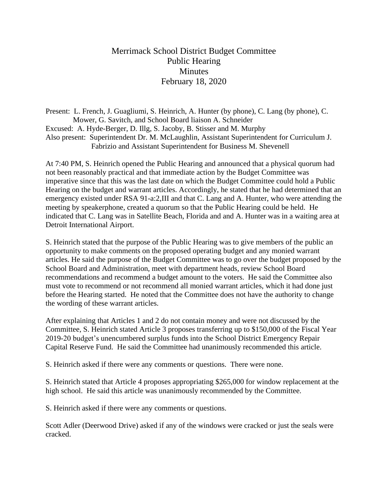## Merrimack School District Budget Committee Public Hearing **Minutes** February 18, 2020

Present: L. French, J. Guagliumi, S. Heinrich, A. Hunter (by phone), C. Lang (by phone), C. Mower, G. Savitch, and School Board liaison A. Schneider Excused: A. Hyde-Berger, D. Illg, S. Jacoby, B. Stisser and M. Murphy Also present: Superintendent Dr. M. McLaughlin, Assistant Superintendent for Curriculum J. Fabrizio and Assistant Superintendent for Business M. Shevenell

At 7:40 PM, S. Heinrich opened the Public Hearing and announced that a physical quorum had not been reasonably practical and that immediate action by the Budget Committee was imperative since that this was the last date on which the Budget Committee could hold a Public Hearing on the budget and warrant articles. Accordingly, he stated that he had determined that an emergency existed under RSA 91-a:2,III and that C. Lang and A. Hunter, who were attending the meeting by speakerphone, created a quorum so that the Public Hearing could be held. He indicated that C. Lang was in Satellite Beach, Florida and and A. Hunter was in a waiting area at Detroit International Airport.

S. Heinrich stated that the purpose of the Public Hearing was to give members of the public an opportunity to make comments on the proposed operating budget and any monied warrant articles. He said the purpose of the Budget Committee was to go over the budget proposed by the School Board and Administration, meet with department heads, review School Board recommendations and recommend a budget amount to the voters. He said the Committee also must vote to recommend or not recommend all monied warrant articles, which it had done just before the Hearing started. He noted that the Committee does not have the authority to change the wording of these warrant articles.

After explaining that Articles 1 and 2 do not contain money and were not discussed by the Committee, S. Heinrich stated Article 3 proposes transferring up to \$150,000 of the Fiscal Year 2019-20 budget's unencumbered surplus funds into the School District Emergency Repair Capital Reserve Fund. He said the Committee had unanimously recommended this article.

S. Heinrich asked if there were any comments or questions. There were none.

S. Heinrich stated that Article 4 proposes appropriating \$265,000 for window replacement at the high school. He said this article was unanimously recommended by the Committee.

S. Heinrich asked if there were any comments or questions.

Scott Adler (Deerwood Drive) asked if any of the windows were cracked or just the seals were cracked.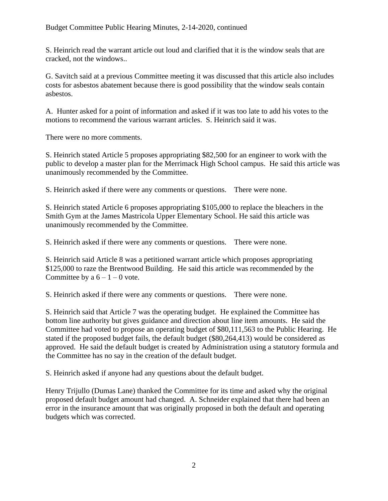## Budget Committee Public Hearing Minutes, 2-14-2020, continued

S. Heinrich read the warrant article out loud and clarified that it is the window seals that are cracked, not the windows..

G. Savitch said at a previous Committee meeting it was discussed that this article also includes costs for asbestos abatement because there is good possibility that the window seals contain asbestos.

A. Hunter asked for a point of information and asked if it was too late to add his votes to the motions to recommend the various warrant articles. S. Heinrich said it was.

There were no more comments.

S. Heinrich stated Article 5 proposes appropriating \$82,500 for an engineer to work with the public to develop a master plan for the Merrimack High School campus. He said this article was unanimously recommended by the Committee.

S. Heinrich asked if there were any comments or questions. There were none.

S. Heinrich stated Article 6 proposes appropriating \$105,000 to replace the bleachers in the Smith Gym at the James Mastricola Upper Elementary School. He said this article was unanimously recommended by the Committee.

S. Heinrich asked if there were any comments or questions. There were none.

S. Heinrich said Article 8 was a petitioned warrant article which proposes appropriating \$125,000 to raze the Brentwood Building. He said this article was recommended by the Committee by a  $6 - 1 - 0$  vote.

S. Heinrich asked if there were any comments or questions. There were none.

S. Heinrich said that Article 7 was the operating budget. He explained the Committee has bottom line authority but gives guidance and direction about line item amounts. He said the Committee had voted to propose an operating budget of \$80,111,563 to the Public Hearing. He stated if the proposed budget fails, the default budget (\$80,264,413) would be considered as approved. He said the default budget is created by Administration using a statutory formula and the Committee has no say in the creation of the default budget.

S. Heinrich asked if anyone had any questions about the default budget.

Henry Trijullo (Dumas Lane) thanked the Committee for its time and asked why the original proposed default budget amount had changed. A. Schneider explained that there had been an error in the insurance amount that was originally proposed in both the default and operating budgets which was corrected.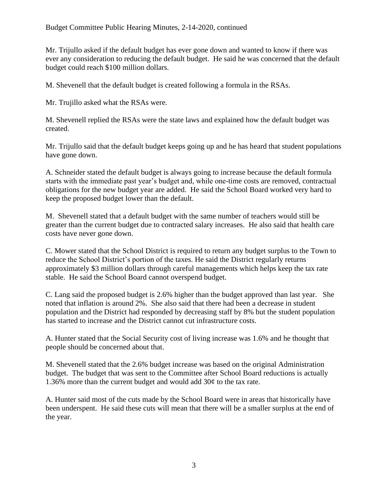Mr. Trijullo asked if the default budget has ever gone down and wanted to know if there was ever any consideration to reducing the default budget. He said he was concerned that the default budget could reach \$100 million dollars.

M. Shevenell that the default budget is created following a formula in the RSAs.

Mr. Trujillo asked what the RSAs were.

M. Shevenell replied the RSAs were the state laws and explained how the default budget was created.

Mr. Trijullo said that the default budget keeps going up and he has heard that student populations have gone down.

A. Schneider stated the default budget is always going to increase because the default formula starts with the immediate past year's budget and, while one-time costs are removed, contractual obligations for the new budget year are added. He said the School Board worked very hard to keep the proposed budget lower than the default.

M. Shevenell stated that a default budget with the same number of teachers would still be greater than the current budget due to contracted salary increases. He also said that health care costs have never gone down.

C. Mower stated that the School District is required to return any budget surplus to the Town to reduce the School District's portion of the taxes. He said the District regularly returns approximately \$3 million dollars through careful managements which helps keep the tax rate stable. He said the School Board cannot overspend budget.

C. Lang said the proposed budget is 2.6% higher than the budget approved than last year. She noted that inflation is around 2%. She also said that there had been a decrease in student population and the District had responded by decreasing staff by 8% but the student population has started to increase and the District cannot cut infrastructure costs.

A. Hunter stated that the Social Security cost of living increase was 1.6% and he thought that people should be concerned about that.

M. Shevenell stated that the 2.6% budget increase was based on the original Administration budget. The budget that was sent to the Committee after School Board reductions is actually 1.36% more than the current budget and would add  $30¢$  to the tax rate.

A. Hunter said most of the cuts made by the School Board were in areas that historically have been underspent. He said these cuts will mean that there will be a smaller surplus at the end of the year.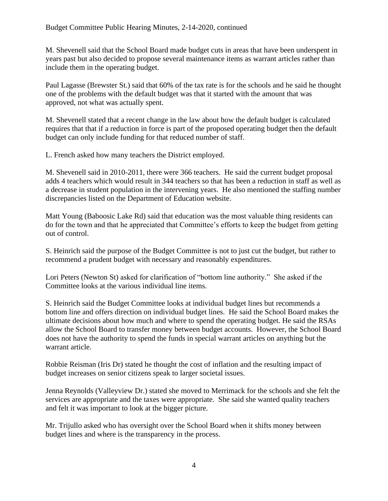M. Shevenell said that the School Board made budget cuts in areas that have been underspent in years past but also decided to propose several maintenance items as warrant articles rather than include them in the operating budget.

Paul Lagasse (Brewster St.) said that 60% of the tax rate is for the schools and he said he thought one of the problems with the default budget was that it started with the amount that was approved, not what was actually spent.

M. Shevenell stated that a recent change in the law about how the default budget is calculated requires that that if a reduction in force is part of the proposed operating budget then the default budget can only include funding for that reduced number of staff.

L. French asked how many teachers the District employed.

M. Shevenell said in 2010-2011, there were 366 teachers. He said the current budget proposal adds 4 teachers which would result in 344 teachers so that has been a reduction in staff as well as a decrease in student population in the intervening years. He also mentioned the staffing number discrepancies listed on the Department of Education website.

Matt Young (Baboosic Lake Rd) said that education was the most valuable thing residents can do for the town and that he appreciated that Committee's efforts to keep the budget from getting out of control.

S. Heinrich said the purpose of the Budget Committee is not to just cut the budget, but rather to recommend a prudent budget with necessary and reasonably expenditures.

Lori Peters (Newton St) asked for clarification of "bottom line authority." She asked if the Committee looks at the various individual line items.

S. Heinrich said the Budget Committee looks at individual budget lines but recommends a bottom line and offers direction on individual budget lines. He said the School Board makes the ultimate decisions about how much and where to spend the operating budget. He said the RSAs allow the School Board to transfer money between budget accounts. However, the School Board does not have the authority to spend the funds in special warrant articles on anything but the warrant article.

Robbie Reisman (Iris Dr) stated he thought the cost of inflation and the resulting impact of budget increases on senior citizens speak to larger societal issues.

Jenna Reynolds (Valleyview Dr.) stated she moved to Merrimack for the schools and she felt the services are appropriate and the taxes were appropriate. She said she wanted quality teachers and felt it was important to look at the bigger picture.

Mr. Trijullo asked who has oversight over the School Board when it shifts money between budget lines and where is the transparency in the process.